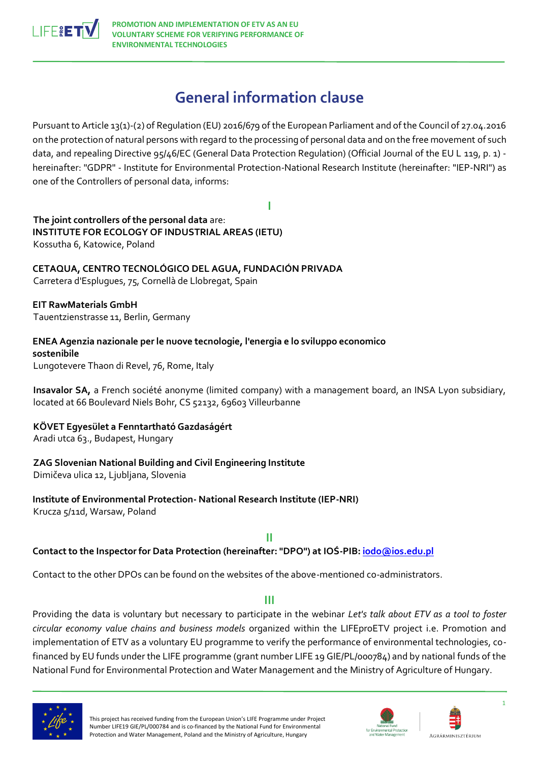

# **General information clause**

Pursuant to Article 13(1)-(2) of Regulation (EU) 2016/679 of the European Parliament and of the Council of 27.04.2016 on the protection of natural persons with regard to the processing of personal data and on the free movement of such data, and repealing Directive 95/46/EC (General Data Protection Regulation) (Official Journal of the EU L 119, p. 1) hereinafter: "GDPR" - Institute for Environmental Protection-National Research Institute (hereinafter: "IEP-NRI") as one of the Controllers of personal data, informs:

**I**

**The joint controllers of the personal data** are: **INSTITUTE FOR ECOLOGY OF INDUSTRIAL AREAS (IETU)**  Kossutha 6, Katowice, Poland

**CETAQUA, CENTRO TECNOLÓGICO DEL AGUA, FUNDACIÓN PRIVADA**  Carretera d'Esplugues, 75, Cornellà de Llobregat, Spain

**EIT RawMaterials GmbH**  Tauentzienstrasse 11, Berlin, Germany

**ENEA Agenzia nazionale per le nuove tecnologie, l'energia e lo sviluppo economico sostenibile**  Lungotevere Thaon di Revel, 76, Rome, Italy

**Insavalor SA,** a French société anonyme (limited company) with a management board, an INSA Lyon subsidiary, located at 66 Boulevard Niels Bohr, CS 52132, 69603 Villeurbanne

**KÖVET Egyesület a Fenntartható Gazdaságért**

Aradi utca 63., Budapest, Hungary

## **ZAG Slovenian National Building and Civil Engineering Institute**

Dimičeva ulica 12, Ljubljana, Slovenia

**Institute of Environmental Protection- National Research Institute (IEP-NRI)**  Krucza 5/11d, Warsaw, Poland

**II**

**Contact to the Inspector for Data Protection (hereinafter: "DPO") at IOŚ-PIB[: iodo@ios.edu.pl](mailto:iodo@ios.edu.pl)**

Contact to the other DPOs can be found on the websites of the above-mentioned co-administrators.

## **III**

Providing the data is voluntary but necessary to participate in the webinar *Let's talk about ETV as a tool to foster circular economy value chains and business models* organized within the LIFEproETV project i.e. Promotion and implementation of ETV as a voluntary EU programme to verify the performance of environmental technologies, cofinanced by EU funds under the LIFE programme (grant number LIFE 19 GIE/PL/000784) and by national funds of the National Fund for Environmental Protection and Water Management and the Ministry of Agriculture of Hungary.



This project has received funding from the European Union's LIFE Programme under Project Number LIFE19 GIE/PL/000784 and is co-financed by the National Fund for Environmental Protection and Water Management, Poland and the Ministry of Agriculture, Hungary